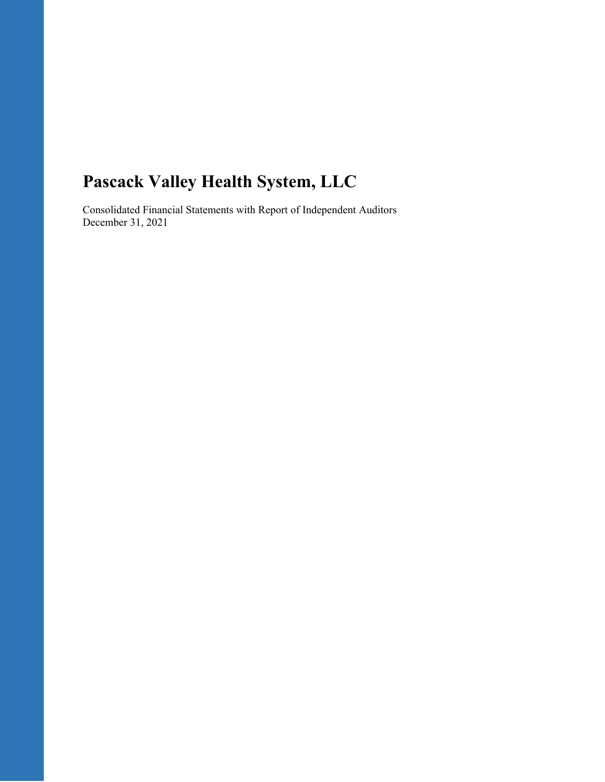# **Pascack Valley Health System, LLC**

Consolidated Financial Statements with Report of Independent Auditors December 31, 2021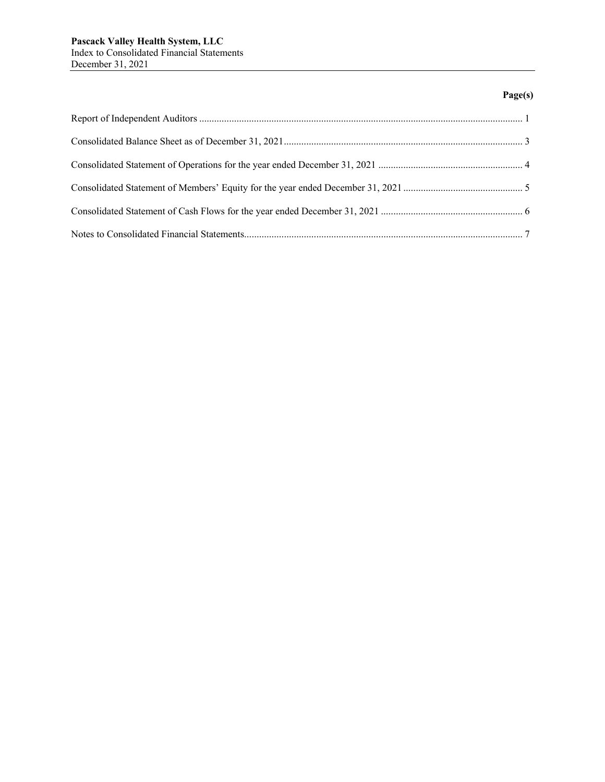# **Page(s)**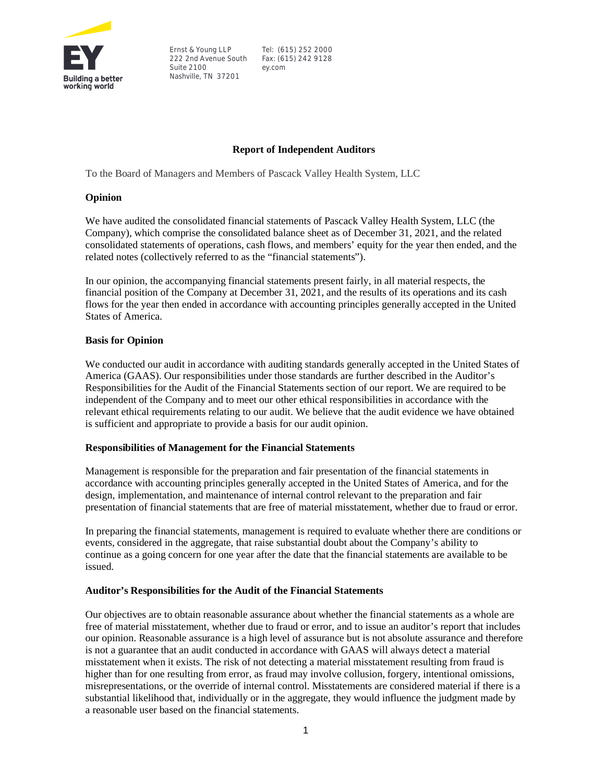

Ernst & Young LLP 222 2nd Avenue South Suite 2100 Nashville, TN 37201

Tel: (615) 252 2000 Fax: (615) 242 9128 ey.com

# **Report of Independent Auditors**

To the Board of Managers and Members of Pascack Valley Health System, LLC

# **Opinion**

We have audited the consolidated financial statements of Pascack Valley Health System, LLC (the Company), which comprise the consolidated balance sheet as of December 31, 2021, and the related consolidated statements of operations, cash flows, and members' equity for the year then ended, and the related notes (collectively referred to as the "financial statements").

In our opinion, the accompanying financial statements present fairly, in all material respects, the financial position of the Company at December 31, 2021, and the results of its operations and its cash flows for the year then ended in accordance with accounting principles generally accepted in the United States of America.

# **Basis for Opinion**

We conducted our audit in accordance with auditing standards generally accepted in the United States of America (GAAS). Our responsibilities under those standards are further described in the Auditor's Responsibilities for the Audit of the Financial Statements section of our report. We are required to be independent of the Company and to meet our other ethical responsibilities in accordance with the relevant ethical requirements relating to our audit. We believe that the audit evidence we have obtained is sufficient and appropriate to provide a basis for our audit opinion.

# **Responsibilities of Management for the Financial Statements**

Management is responsible for the preparation and fair presentation of the financial statements in accordance with accounting principles generally accepted in the United States of America, and for the design, implementation, and maintenance of internal control relevant to the preparation and fair presentation of financial statements that are free of material misstatement, whether due to fraud or error.

In preparing the financial statements, management is required to evaluate whether there are conditions or events, considered in the aggregate, that raise substantial doubt about the Company's ability to continue as a going concern for one year after the date that the financial statements are available to be issued.

# **Auditor's Responsibilities for the Audit of the Financial Statements**

Our objectives are to obtain reasonable assurance about whether the financial statements as a whole are free of material misstatement, whether due to fraud or error, and to issue an auditor's report that includes our opinion. Reasonable assurance is a high level of assurance but is not absolute assurance and therefore is not a guarantee that an audit conducted in accordance with GAAS will always detect a material misstatement when it exists. The risk of not detecting a material misstatement resulting from fraud is higher than for one resulting from error, as fraud may involve collusion, forgery, intentional omissions, misrepresentations, or the override of internal control. Misstatements are considered material if there is a substantial likelihood that, individually or in the aggregate, they would influence the judgment made by a reasonable user based on the financial statements.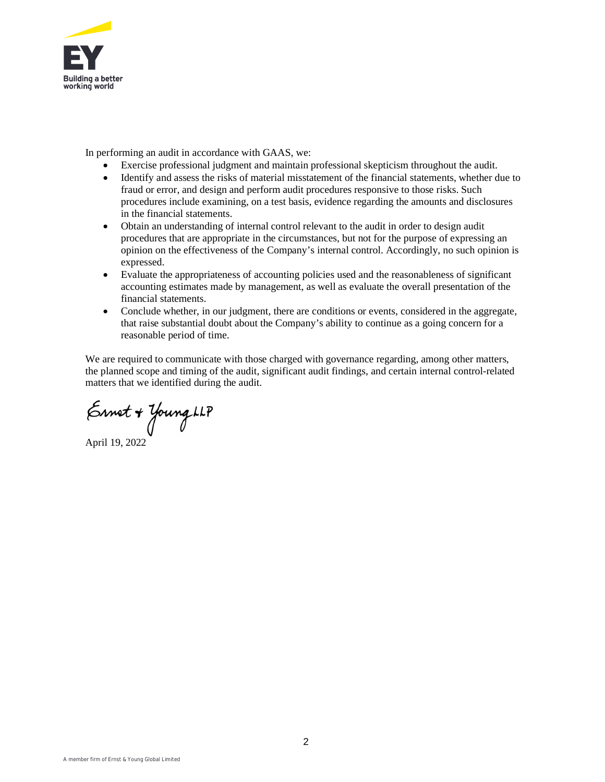

In performing an audit in accordance with GAAS, we:

- Exercise professional judgment and maintain professional skepticism throughout the audit.
- Identify and assess the risks of material misstatement of the financial statements, whether due to fraud or error, and design and perform audit procedures responsive to those risks. Such procedures include examining, on a test basis, evidence regarding the amounts and disclosures in the financial statements.
- Obtain an understanding of internal control relevant to the audit in order to design audit procedures that are appropriate in the circumstances, but not for the purpose of expressing an opinion on the effectiveness of the Company's internal control. Accordingly, no such opinion is expressed.
- Evaluate the appropriateness of accounting policies used and the reasonableness of significant accounting estimates made by management, as well as evaluate the overall presentation of the financial statements.
- Conclude whether, in our judgment, there are conditions or events, considered in the aggregate, that raise substantial doubt about the Company's ability to continue as a going concern for a reasonable period of time.

We are required to communicate with those charged with governance regarding, among other matters, the planned scope and timing of the audit, significant audit findings, and certain internal control-related matters that we identified during the audit.

Ernet + Young LLP

April 19, 2022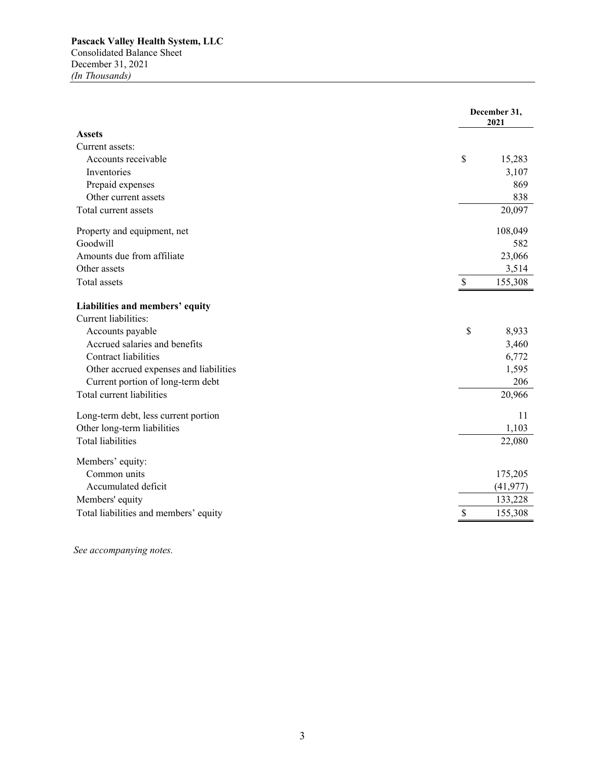|                                        | December 31,<br>2021 |
|----------------------------------------|----------------------|
| <b>Assets</b>                          |                      |
| Current assets:                        |                      |
| Accounts receivable                    | \$<br>15,283         |
| Inventories                            | 3,107                |
| Prepaid expenses                       | 869                  |
| Other current assets                   | 838                  |
| Total current assets                   | 20,097               |
| Property and equipment, net            | 108,049              |
| Goodwill                               | 582                  |
| Amounts due from affiliate             | 23,066               |
| Other assets                           | 3,514                |
| Total assets                           | $\$$<br>155,308      |
| Liabilities and members' equity        |                      |
| Current liabilities:                   |                      |
| Accounts payable                       | \$<br>8,933          |
| Accrued salaries and benefits          | 3,460                |
| Contract liabilities                   | 6,772                |
| Other accrued expenses and liabilities | 1,595                |
| Current portion of long-term debt      | 206                  |
| Total current liabilities              | 20,966               |
| Long-term debt, less current portion   | 11                   |
| Other long-term liabilities            | 1,103                |
| <b>Total liabilities</b>               | 22,080               |
| Members' equity:                       |                      |
| Common units                           | 175,205              |
| Accumulated deficit                    | (41, 977)            |
| Members' equity                        | 133,228              |
| Total liabilities and members' equity  | \$<br>155,308        |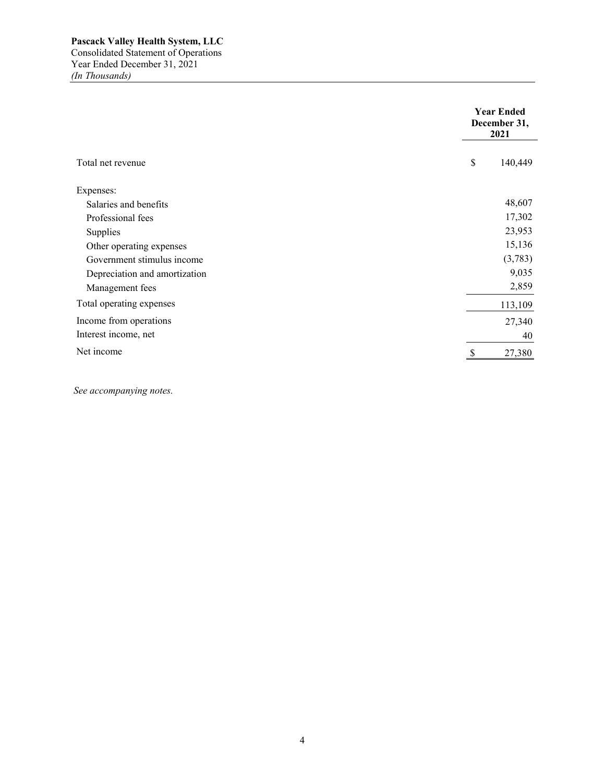|                               | <b>Year Ended</b><br>December 31,<br>2021 |         |
|-------------------------------|-------------------------------------------|---------|
| Total net revenue             | \$                                        | 140,449 |
| Expenses:                     |                                           |         |
| Salaries and benefits         |                                           | 48,607  |
| Professional fees             |                                           | 17,302  |
| Supplies                      |                                           | 23,953  |
| Other operating expenses      |                                           | 15,136  |
| Government stimulus income    |                                           | (3,783) |
| Depreciation and amortization |                                           | 9,035   |
| Management fees               |                                           | 2,859   |
| Total operating expenses      |                                           | 113,109 |
| Income from operations        |                                           | 27,340  |
| Interest income, net          |                                           | 40      |
| Net income                    |                                           | 27,380  |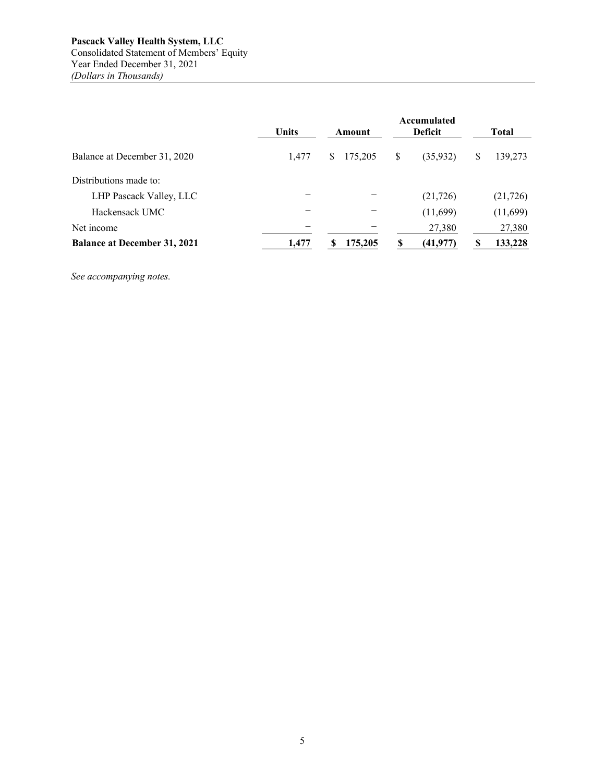# **Pascack Valley Health System, LLC**  Consolidated Statement of Members' Equity

Year Ended December 31, 2021 *(Dollars in Thousands)* 

|                                     | Units | Amount       | Accumulated<br><b>Deficit</b> | <b>Total</b>  |
|-------------------------------------|-------|--------------|-------------------------------|---------------|
| Balance at December 31, 2020        | 1,477 | S<br>175,205 | \$<br>(35,932)                | 139,273<br>\$ |
| Distributions made to:              |       |              |                               |               |
| LHP Pascack Valley, LLC             |       |              | (21, 726)                     | (21, 726)     |
| Hackensack UMC                      | –     |              | (11,699)                      | (11,699)      |
| Net income                          |       |              | 27,380                        | 27,380        |
| <b>Balance at December 31, 2021</b> | 1,477 | 175,205      | (41, 977)                     | 133,228       |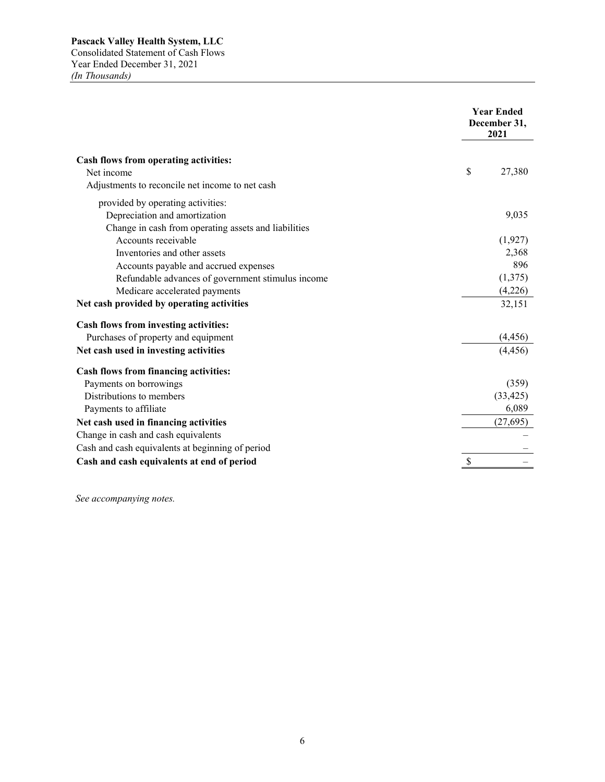|                                                      |    | <b>Year Ended</b><br>December 31,<br>2021 |  |  |
|------------------------------------------------------|----|-------------------------------------------|--|--|
| Cash flows from operating activities:                |    |                                           |  |  |
| Net income                                           | \$ | 27,380                                    |  |  |
| Adjustments to reconcile net income to net cash      |    |                                           |  |  |
| provided by operating activities:                    |    |                                           |  |  |
| Depreciation and amortization                        |    | 9,035                                     |  |  |
| Change in cash from operating assets and liabilities |    |                                           |  |  |
| Accounts receivable                                  |    | (1,927)                                   |  |  |
| Inventories and other assets                         |    | 2,368                                     |  |  |
| Accounts payable and accrued expenses                |    | 896                                       |  |  |
| Refundable advances of government stimulus income    |    | (1,375)                                   |  |  |
| Medicare accelerated payments                        |    | (4,226)                                   |  |  |
| Net cash provided by operating activities            |    | 32,151                                    |  |  |
| Cash flows from investing activities:                |    |                                           |  |  |
| Purchases of property and equipment                  |    | (4, 456)                                  |  |  |
| Net cash used in investing activities                |    | (4, 456)                                  |  |  |
| <b>Cash flows from financing activities:</b>         |    |                                           |  |  |
| Payments on borrowings                               |    | (359)                                     |  |  |
| Distributions to members                             |    | (33, 425)                                 |  |  |
| Payments to affiliate                                |    | 6,089                                     |  |  |
| Net cash used in financing activities                |    | (27, 695)                                 |  |  |
| Change in cash and cash equivalents                  |    |                                           |  |  |
| Cash and cash equivalents at beginning of period     |    |                                           |  |  |
| Cash and cash equivalents at end of period           | \$ |                                           |  |  |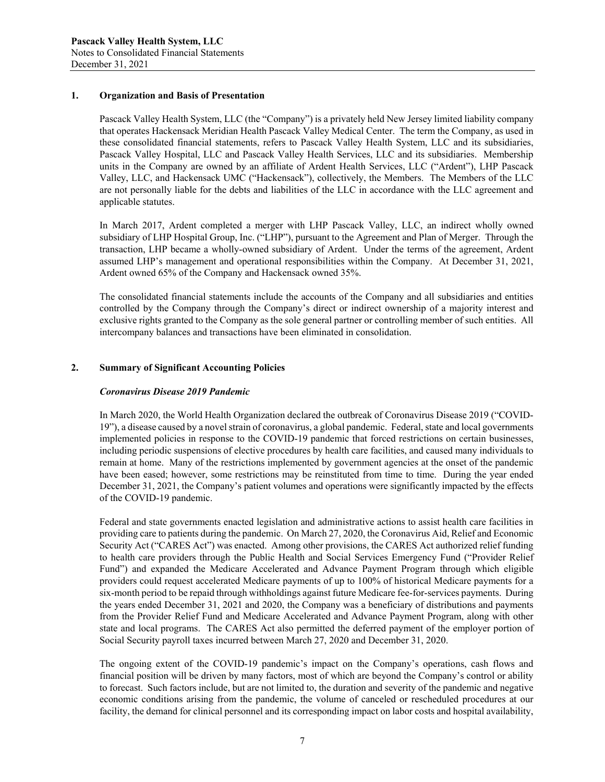# **1. Organization and Basis of Presentation**

Pascack Valley Health System, LLC (the "Company") is a privately held New Jersey limited liability company that operates Hackensack Meridian Health Pascack Valley Medical Center. The term the Company, as used in these consolidated financial statements, refers to Pascack Valley Health System, LLC and its subsidiaries, Pascack Valley Hospital, LLC and Pascack Valley Health Services, LLC and its subsidiaries. Membership units in the Company are owned by an affiliate of Ardent Health Services, LLC ("Ardent"), LHP Pascack Valley, LLC, and Hackensack UMC ("Hackensack"), collectively, the Members. The Members of the LLC are not personally liable for the debts and liabilities of the LLC in accordance with the LLC agreement and applicable statutes.

In March 2017, Ardent completed a merger with LHP Pascack Valley, LLC, an indirect wholly owned subsidiary of LHP Hospital Group, Inc. ("LHP"), pursuant to the Agreement and Plan of Merger. Through the transaction, LHP became a wholly-owned subsidiary of Ardent. Under the terms of the agreement, Ardent assumed LHP's management and operational responsibilities within the Company. At December 31, 2021, Ardent owned 65% of the Company and Hackensack owned 35%.

The consolidated financial statements include the accounts of the Company and all subsidiaries and entities controlled by the Company through the Company's direct or indirect ownership of a majority interest and exclusive rights granted to the Company as the sole general partner or controlling member of such entities. All intercompany balances and transactions have been eliminated in consolidation.

### **2. Summary of Significant Accounting Policies**

#### *Coronavirus Disease 2019 Pandemic*

In March 2020, the World Health Organization declared the outbreak of Coronavirus Disease 2019 ("COVID-19"), a disease caused by a novel strain of coronavirus, a global pandemic. Federal, state and local governments implemented policies in response to the COVID-19 pandemic that forced restrictions on certain businesses, including periodic suspensions of elective procedures by health care facilities, and caused many individuals to remain at home. Many of the restrictions implemented by government agencies at the onset of the pandemic have been eased; however, some restrictions may be reinstituted from time to time. During the year ended December 31, 2021, the Company's patient volumes and operations were significantly impacted by the effects of the COVID-19 pandemic.

Federal and state governments enacted legislation and administrative actions to assist health care facilities in providing care to patients during the pandemic. On March 27, 2020, the Coronavirus Aid, Relief and Economic Security Act ("CARES Act") was enacted. Among other provisions, the CARES Act authorized relief funding to health care providers through the Public Health and Social Services Emergency Fund ("Provider Relief Fund") and expanded the Medicare Accelerated and Advance Payment Program through which eligible providers could request accelerated Medicare payments of up to 100% of historical Medicare payments for a six-month period to be repaid through withholdings against future Medicare fee-for-services payments. During the years ended December 31, 2021 and 2020, the Company was a beneficiary of distributions and payments from the Provider Relief Fund and Medicare Accelerated and Advance Payment Program, along with other state and local programs. The CARES Act also permitted the deferred payment of the employer portion of Social Security payroll taxes incurred between March 27, 2020 and December 31, 2020.

The ongoing extent of the COVID-19 pandemic's impact on the Company's operations, cash flows and financial position will be driven by many factors, most of which are beyond the Company's control or ability to forecast. Such factors include, but are not limited to, the duration and severity of the pandemic and negative economic conditions arising from the pandemic, the volume of canceled or rescheduled procedures at our facility, the demand for clinical personnel and its corresponding impact on labor costs and hospital availability,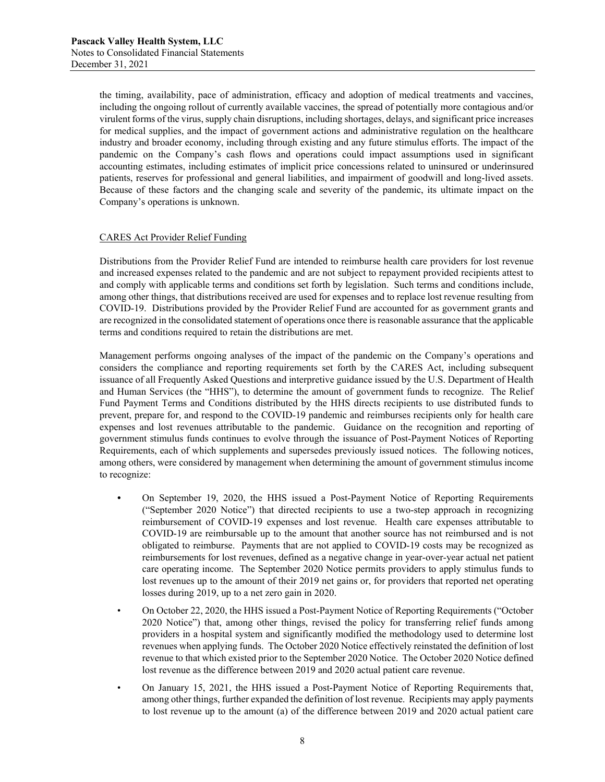the timing, availability, pace of administration, efficacy and adoption of medical treatments and vaccines, including the ongoing rollout of currently available vaccines, the spread of potentially more contagious and/or virulent forms of the virus, supply chain disruptions, including shortages, delays, and significant price increases for medical supplies, and the impact of government actions and administrative regulation on the healthcare industry and broader economy, including through existing and any future stimulus efforts. The impact of the pandemic on the Company's cash flows and operations could impact assumptions used in significant accounting estimates, including estimates of implicit price concessions related to uninsured or underinsured patients, reserves for professional and general liabilities, and impairment of goodwill and long-lived assets. Because of these factors and the changing scale and severity of the pandemic, its ultimate impact on the Company's operations is unknown.

# CARES Act Provider Relief Funding

Distributions from the Provider Relief Fund are intended to reimburse health care providers for lost revenue and increased expenses related to the pandemic and are not subject to repayment provided recipients attest to and comply with applicable terms and conditions set forth by legislation. Such terms and conditions include, among other things, that distributions received are used for expenses and to replace lost revenue resulting from COVID-19. Distributions provided by the Provider Relief Fund are accounted for as government grants and are recognized in the consolidated statement of operations once there is reasonable assurance that the applicable terms and conditions required to retain the distributions are met.

Management performs ongoing analyses of the impact of the pandemic on the Company's operations and considers the compliance and reporting requirements set forth by the CARES Act, including subsequent issuance of all Frequently Asked Questions and interpretive guidance issued by the U.S. Department of Health and Human Services (the "HHS"), to determine the amount of government funds to recognize. The Relief Fund Payment Terms and Conditions distributed by the HHS directs recipients to use distributed funds to prevent, prepare for, and respond to the COVID-19 pandemic and reimburses recipients only for health care expenses and lost revenues attributable to the pandemic. Guidance on the recognition and reporting of government stimulus funds continues to evolve through the issuance of Post-Payment Notices of Reporting Requirements, each of which supplements and supersedes previously issued notices. The following notices, among others, were considered by management when determining the amount of government stimulus income to recognize:

- On September 19, 2020, the HHS issued a Post-Payment Notice of Reporting Requirements ("September 2020 Notice") that directed recipients to use a two-step approach in recognizing reimbursement of COVID-19 expenses and lost revenue. Health care expenses attributable to COVID-19 are reimbursable up to the amount that another source has not reimbursed and is not obligated to reimburse. Payments that are not applied to COVID-19 costs may be recognized as reimbursements for lost revenues, defined as a negative change in year-over-year actual net patient care operating income. The September 2020 Notice permits providers to apply stimulus funds to lost revenues up to the amount of their 2019 net gains or, for providers that reported net operating losses during 2019, up to a net zero gain in 2020.
- On October 22, 2020, the HHS issued a Post-Payment Notice of Reporting Requirements ("October 2020 Notice") that, among other things, revised the policy for transferring relief funds among providers in a hospital system and significantly modified the methodology used to determine lost revenues when applying funds. The October 2020 Notice effectively reinstated the definition of lost revenue to that which existed prior to the September 2020 Notice. The October 2020 Notice defined lost revenue as the difference between 2019 and 2020 actual patient care revenue.
- On January 15, 2021, the HHS issued a Post-Payment Notice of Reporting Requirements that, among other things, further expanded the definition of lost revenue. Recipients may apply payments to lost revenue up to the amount (a) of the difference between 2019 and 2020 actual patient care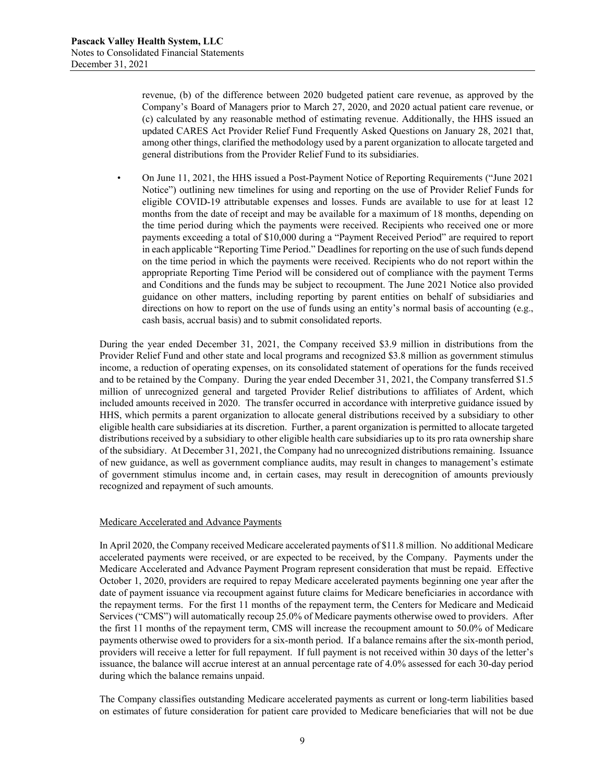revenue, (b) of the difference between 2020 budgeted patient care revenue, as approved by the Company's Board of Managers prior to March 27, 2020, and 2020 actual patient care revenue, or (c) calculated by any reasonable method of estimating revenue. Additionally, the HHS issued an updated CARES Act Provider Relief Fund Frequently Asked Questions on January 28, 2021 that, among other things, clarified the methodology used by a parent organization to allocate targeted and general distributions from the Provider Relief Fund to its subsidiaries.

• On June 11, 2021, the HHS issued a Post-Payment Notice of Reporting Requirements ("June 2021 Notice") outlining new timelines for using and reporting on the use of Provider Relief Funds for eligible COVID-19 attributable expenses and losses. Funds are available to use for at least 12 months from the date of receipt and may be available for a maximum of 18 months, depending on the time period during which the payments were received. Recipients who received one or more payments exceeding a total of \$10,000 during a "Payment Received Period" are required to report in each applicable "Reporting Time Period." Deadlines for reporting on the use of such funds depend on the time period in which the payments were received. Recipients who do not report within the appropriate Reporting Time Period will be considered out of compliance with the payment Terms and Conditions and the funds may be subject to recoupment. The June 2021 Notice also provided guidance on other matters, including reporting by parent entities on behalf of subsidiaries and directions on how to report on the use of funds using an entity's normal basis of accounting (e.g., cash basis, accrual basis) and to submit consolidated reports.

During the year ended December 31, 2021, the Company received \$3.9 million in distributions from the Provider Relief Fund and other state and local programs and recognized \$3.8 million as government stimulus income, a reduction of operating expenses, on its consolidated statement of operations for the funds received and to be retained by the Company. During the year ended December 31, 2021, the Company transferred \$1.5 million of unrecognized general and targeted Provider Relief distributions to affiliates of Ardent, which included amounts received in 2020. The transfer occurred in accordance with interpretive guidance issued by HHS, which permits a parent organization to allocate general distributions received by a subsidiary to other eligible health care subsidiaries at its discretion. Further, a parent organization is permitted to allocate targeted distributions received by a subsidiary to other eligible health care subsidiaries up to its pro rata ownership share of the subsidiary. At December 31, 2021, the Company had no unrecognized distributions remaining. Issuance of new guidance, as well as government compliance audits, may result in changes to management's estimate of government stimulus income and, in certain cases, may result in derecognition of amounts previously recognized and repayment of such amounts.

# Medicare Accelerated and Advance Payments

In April 2020, the Company received Medicare accelerated payments of \$11.8 million. No additional Medicare accelerated payments were received, or are expected to be received, by the Company. Payments under the Medicare Accelerated and Advance Payment Program represent consideration that must be repaid. Effective October 1, 2020, providers are required to repay Medicare accelerated payments beginning one year after the date of payment issuance via recoupment against future claims for Medicare beneficiaries in accordance with the repayment terms. For the first 11 months of the repayment term, the Centers for Medicare and Medicaid Services ("CMS") will automatically recoup 25.0% of Medicare payments otherwise owed to providers. After the first 11 months of the repayment term, CMS will increase the recoupment amount to 50.0% of Medicare payments otherwise owed to providers for a six-month period. If a balance remains after the six-month period, providers will receive a letter for full repayment. If full payment is not received within 30 days of the letter's issuance, the balance will accrue interest at an annual percentage rate of 4.0% assessed for each 30-day period during which the balance remains unpaid.

The Company classifies outstanding Medicare accelerated payments as current or long-term liabilities based on estimates of future consideration for patient care provided to Medicare beneficiaries that will not be due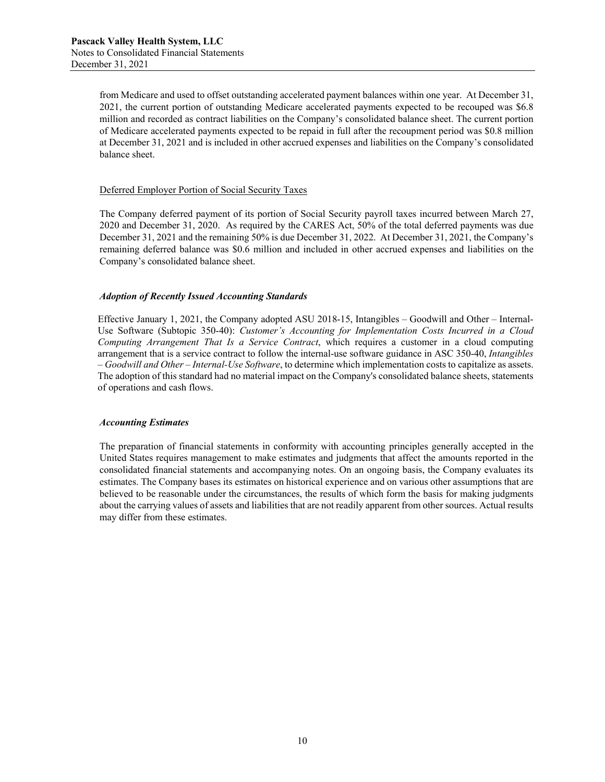from Medicare and used to offset outstanding accelerated payment balances within one year. At December 31, 2021, the current portion of outstanding Medicare accelerated payments expected to be recouped was \$6.8 million and recorded as contract liabilities on the Company's consolidated balance sheet. The current portion of Medicare accelerated payments expected to be repaid in full after the recoupment period was \$0.8 million at December 31, 2021 and is included in other accrued expenses and liabilities on the Company's consolidated balance sheet.

# Deferred Employer Portion of Social Security Taxes

The Company deferred payment of its portion of Social Security payroll taxes incurred between March 27, 2020 and December 31, 2020. As required by the CARES Act, 50% of the total deferred payments was due December 31, 2021 and the remaining 50% is due December 31, 2022. At December 31, 2021, the Company's remaining deferred balance was \$0.6 million and included in other accrued expenses and liabilities on the Company's consolidated balance sheet.

#### *Adoption of Recently Issued Accounting Standards*

Effective January 1, 2021, the Company adopted ASU 2018-15, Intangibles – Goodwill and Other – Internal-Use Software (Subtopic 350-40): *Customer's Accounting for Implementation Costs Incurred in a Cloud Computing Arrangement That Is a Service Contract*, which requires a customer in a cloud computing arrangement that is a service contract to follow the internal-use software guidance in ASC 350-40, *Intangibles – Goodwill and Other – Internal-Use Software*, to determine which implementation costs to capitalize as assets. The adoption of this standard had no material impact on the Company's consolidated balance sheets, statements of operations and cash flows.

#### *Accounting Estimates*

The preparation of financial statements in conformity with accounting principles generally accepted in the United States requires management to make estimates and judgments that affect the amounts reported in the consolidated financial statements and accompanying notes. On an ongoing basis, the Company evaluates its estimates. The Company bases its estimates on historical experience and on various other assumptions that are believed to be reasonable under the circumstances, the results of which form the basis for making judgments about the carrying values of assets and liabilities that are not readily apparent from other sources. Actual results may differ from these estimates.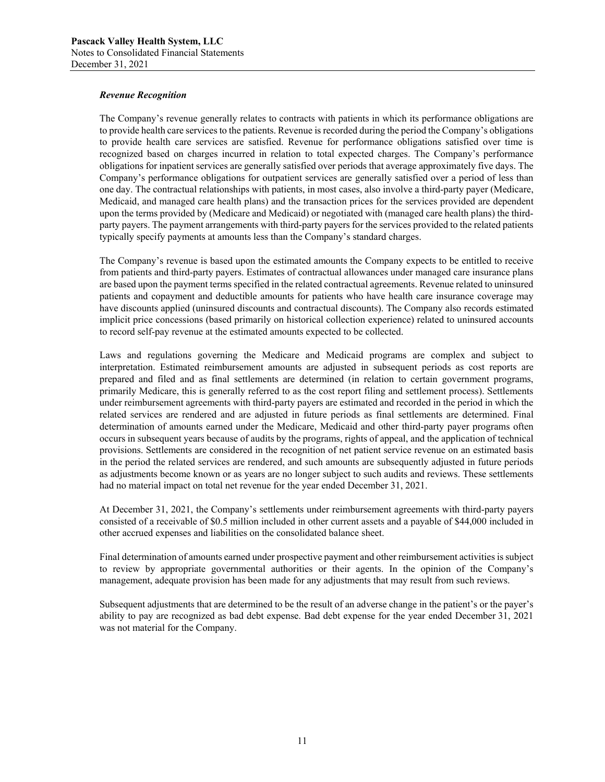#### *Revenue Recognition*

The Company's revenue generally relates to contracts with patients in which its performance obligations are to provide health care services to the patients. Revenue is recorded during the period the Company's obligations to provide health care services are satisfied. Revenue for performance obligations satisfied over time is recognized based on charges incurred in relation to total expected charges. The Company's performance obligations for inpatient services are generally satisfied over periods that average approximately five days. The Company's performance obligations for outpatient services are generally satisfied over a period of less than one day. The contractual relationships with patients, in most cases, also involve a third-party payer (Medicare, Medicaid, and managed care health plans) and the transaction prices for the services provided are dependent upon the terms provided by (Medicare and Medicaid) or negotiated with (managed care health plans) the thirdparty payers. The payment arrangements with third-party payers for the services provided to the related patients typically specify payments at amounts less than the Company's standard charges.

The Company's revenue is based upon the estimated amounts the Company expects to be entitled to receive from patients and third-party payers. Estimates of contractual allowances under managed care insurance plans are based upon the payment terms specified in the related contractual agreements. Revenue related to uninsured patients and copayment and deductible amounts for patients who have health care insurance coverage may have discounts applied (uninsured discounts and contractual discounts). The Company also records estimated implicit price concessions (based primarily on historical collection experience) related to uninsured accounts to record self-pay revenue at the estimated amounts expected to be collected.

Laws and regulations governing the Medicare and Medicaid programs are complex and subject to interpretation. Estimated reimbursement amounts are adjusted in subsequent periods as cost reports are prepared and filed and as final settlements are determined (in relation to certain government programs, primarily Medicare, this is generally referred to as the cost report filing and settlement process). Settlements under reimbursement agreements with third-party payers are estimated and recorded in the period in which the related services are rendered and are adjusted in future periods as final settlements are determined. Final determination of amounts earned under the Medicare, Medicaid and other third-party payer programs often occurs in subsequent years because of audits by the programs, rights of appeal, and the application of technical provisions. Settlements are considered in the recognition of net patient service revenue on an estimated basis in the period the related services are rendered, and such amounts are subsequently adjusted in future periods as adjustments become known or as years are no longer subject to such audits and reviews. These settlements had no material impact on total net revenue for the year ended December 31, 2021.

At December 31, 2021, the Company's settlements under reimbursement agreements with third-party payers consisted of a receivable of \$0.5 million included in other current assets and a payable of \$44,000 included in other accrued expenses and liabilities on the consolidated balance sheet.

Final determination of amounts earned under prospective payment and other reimbursement activities is subject to review by appropriate governmental authorities or their agents. In the opinion of the Company's management, adequate provision has been made for any adjustments that may result from such reviews.

Subsequent adjustments that are determined to be the result of an adverse change in the patient's or the payer's ability to pay are recognized as bad debt expense. Bad debt expense for the year ended December 31, 2021 was not material for the Company.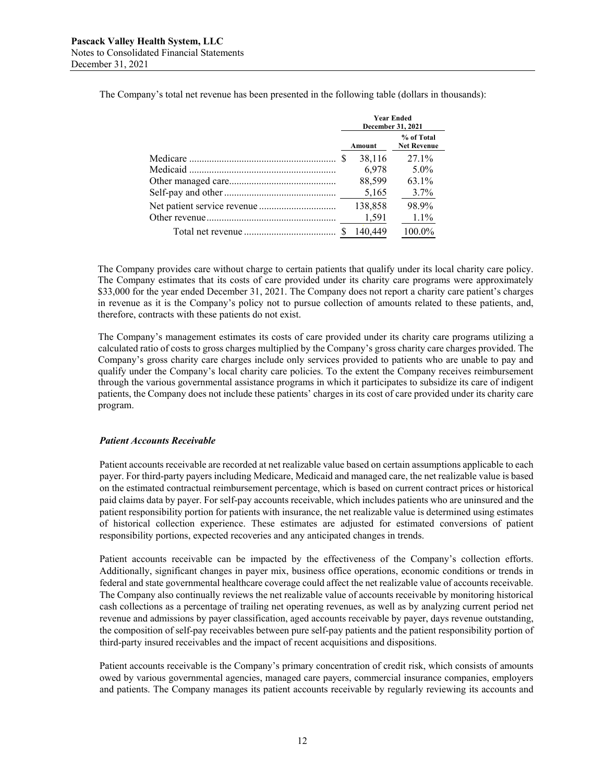|  | <b>Year Ended</b><br>December 31, 2021 |         |                                  |  |
|--|----------------------------------------|---------|----------------------------------|--|
|  |                                        | Amount  | % of Total<br><b>Net Revenue</b> |  |
|  |                                        | 38.116  | 27.1%                            |  |
|  |                                        | 6.978   | $5.0\%$                          |  |
|  |                                        | 88,599  | 63.1%                            |  |
|  |                                        | 5,165   | $3.7\%$                          |  |
|  |                                        | 138,858 | 98.9%                            |  |
|  |                                        | 1,591   | $1.1\%$                          |  |
|  |                                        | 140,449 | 100.0%                           |  |

The Company's total net revenue has been presented in the following table (dollars in thousands):

The Company provides care without charge to certain patients that qualify under its local charity care policy. The Company estimates that its costs of care provided under its charity care programs were approximately \$33,000 for the year ended December 31, 2021. The Company does not report a charity care patient's charges in revenue as it is the Company's policy not to pursue collection of amounts related to these patients, and, therefore, contracts with these patients do not exist.

The Company's management estimates its costs of care provided under its charity care programs utilizing a calculated ratio of costs to gross charges multiplied by the Company's gross charity care charges provided. The Company's gross charity care charges include only services provided to patients who are unable to pay and qualify under the Company's local charity care policies. To the extent the Company receives reimbursement through the various governmental assistance programs in which it participates to subsidize its care of indigent patients, the Company does not include these patients' charges in its cost of care provided under its charity care program.

#### *Patient Accounts Receivable*

Patient accounts receivable are recorded at net realizable value based on certain assumptions applicable to each payer. For third-party payers including Medicare, Medicaid and managed care, the net realizable value is based on the estimated contractual reimbursement percentage, which is based on current contract prices or historical paid claims data by payer. For self-pay accounts receivable, which includes patients who are uninsured and the patient responsibility portion for patients with insurance, the net realizable value is determined using estimates of historical collection experience. These estimates are adjusted for estimated conversions of patient responsibility portions, expected recoveries and any anticipated changes in trends.

Patient accounts receivable can be impacted by the effectiveness of the Company's collection efforts. Additionally, significant changes in payer mix, business office operations, economic conditions or trends in federal and state governmental healthcare coverage could affect the net realizable value of accounts receivable. The Company also continually reviews the net realizable value of accounts receivable by monitoring historical cash collections as a percentage of trailing net operating revenues, as well as by analyzing current period net revenue and admissions by payer classification, aged accounts receivable by payer, days revenue outstanding, the composition of self-pay receivables between pure self-pay patients and the patient responsibility portion of third-party insured receivables and the impact of recent acquisitions and dispositions.

Patient accounts receivable is the Company's primary concentration of credit risk, which consists of amounts owed by various governmental agencies, managed care payers, commercial insurance companies, employers and patients. The Company manages its patient accounts receivable by regularly reviewing its accounts and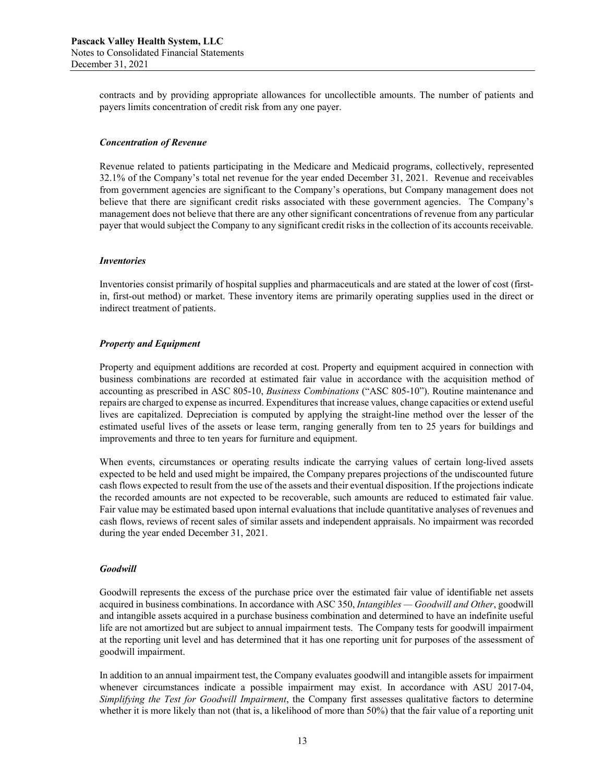contracts and by providing appropriate allowances for uncollectible amounts. The number of patients and payers limits concentration of credit risk from any one payer.

### *Concentration of Revenue*

Revenue related to patients participating in the Medicare and Medicaid programs, collectively, represented 32.1% of the Company's total net revenue for the year ended December 31, 2021. Revenue and receivables from government agencies are significant to the Company's operations, but Company management does not believe that there are significant credit risks associated with these government agencies. The Company's management does not believe that there are any other significant concentrations of revenue from any particular payer that would subject the Company to any significant credit risks in the collection of its accounts receivable.

### *Inventories*

Inventories consist primarily of hospital supplies and pharmaceuticals and are stated at the lower of cost (firstin, first-out method) or market. These inventory items are primarily operating supplies used in the direct or indirect treatment of patients.

### *Property and Equipment*

Property and equipment additions are recorded at cost. Property and equipment acquired in connection with business combinations are recorded at estimated fair value in accordance with the acquisition method of accounting as prescribed in ASC 805-10, *Business Combinations* ("ASC 805-10"). Routine maintenance and repairs are charged to expense as incurred. Expenditures that increase values, change capacities or extend useful lives are capitalized. Depreciation is computed by applying the straight-line method over the lesser of the estimated useful lives of the assets or lease term, ranging generally from ten to 25 years for buildings and improvements and three to ten years for furniture and equipment.

When events, circumstances or operating results indicate the carrying values of certain long-lived assets expected to be held and used might be impaired, the Company prepares projections of the undiscounted future cash flows expected to result from the use of the assets and their eventual disposition. If the projections indicate the recorded amounts are not expected to be recoverable, such amounts are reduced to estimated fair value. Fair value may be estimated based upon internal evaluations that include quantitative analyses of revenues and cash flows, reviews of recent sales of similar assets and independent appraisals. No impairment was recorded during the year ended December 31, 2021.

# *Goodwill*

Goodwill represents the excess of the purchase price over the estimated fair value of identifiable net assets acquired in business combinations. In accordance with ASC 350, *Intangibles — Goodwill and Other*, goodwill and intangible assets acquired in a purchase business combination and determined to have an indefinite useful life are not amortized but are subject to annual impairment tests. The Company tests for goodwill impairment at the reporting unit level and has determined that it has one reporting unit for purposes of the assessment of goodwill impairment.

In addition to an annual impairment test, the Company evaluates goodwill and intangible assets for impairment whenever circumstances indicate a possible impairment may exist. In accordance with ASU 2017-04, *Simplifying the Test for Goodwill Impairment*, the Company first assesses qualitative factors to determine whether it is more likely than not (that is, a likelihood of more than 50%) that the fair value of a reporting unit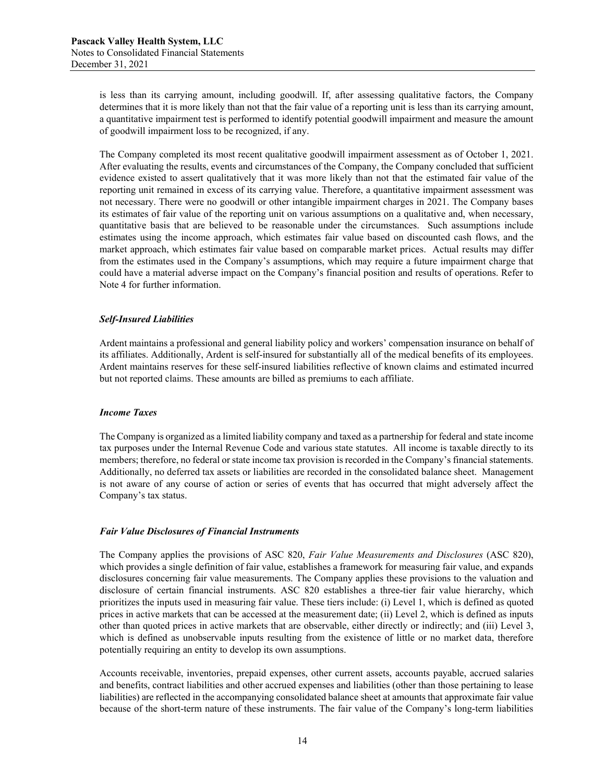is less than its carrying amount, including goodwill. If, after assessing qualitative factors, the Company determines that it is more likely than not that the fair value of a reporting unit is less than its carrying amount, a quantitative impairment test is performed to identify potential goodwill impairment and measure the amount of goodwill impairment loss to be recognized, if any.

The Company completed its most recent qualitative goodwill impairment assessment as of October 1, 2021. After evaluating the results, events and circumstances of the Company, the Company concluded that sufficient evidence existed to assert qualitatively that it was more likely than not that the estimated fair value of the reporting unit remained in excess of its carrying value. Therefore, a quantitative impairment assessment was not necessary. There were no goodwill or other intangible impairment charges in 2021. The Company bases its estimates of fair value of the reporting unit on various assumptions on a qualitative and, when necessary, quantitative basis that are believed to be reasonable under the circumstances. Such assumptions include estimates using the income approach, which estimates fair value based on discounted cash flows, and the market approach, which estimates fair value based on comparable market prices. Actual results may differ from the estimates used in the Company's assumptions, which may require a future impairment charge that could have a material adverse impact on the Company's financial position and results of operations. Refer to Note 4 for further information.

# *Self-Insured Liabilities*

Ardent maintains a professional and general liability policy and workers' compensation insurance on behalf of its affiliates. Additionally, Ardent is self-insured for substantially all of the medical benefits of its employees. Ardent maintains reserves for these self-insured liabilities reflective of known claims and estimated incurred but not reported claims. These amounts are billed as premiums to each affiliate.

#### *Income Taxes*

The Company is organized as a limited liability company and taxed as a partnership for federal and state income tax purposes under the Internal Revenue Code and various state statutes. All income is taxable directly to its members; therefore, no federal or state income tax provision is recorded in the Company's financial statements. Additionally, no deferred tax assets or liabilities are recorded in the consolidated balance sheet. Management is not aware of any course of action or series of events that has occurred that might adversely affect the Company's tax status.

#### *Fair Value Disclosures of Financial Instruments*

The Company applies the provisions of ASC 820, *Fair Value Measurements and Disclosures* (ASC 820), which provides a single definition of fair value, establishes a framework for measuring fair value, and expands disclosures concerning fair value measurements. The Company applies these provisions to the valuation and disclosure of certain financial instruments. ASC 820 establishes a three-tier fair value hierarchy, which prioritizes the inputs used in measuring fair value. These tiers include: (i) Level 1, which is defined as quoted prices in active markets that can be accessed at the measurement date; (ii) Level 2, which is defined as inputs other than quoted prices in active markets that are observable, either directly or indirectly; and (iii) Level 3, which is defined as unobservable inputs resulting from the existence of little or no market data, therefore potentially requiring an entity to develop its own assumptions.

Accounts receivable, inventories, prepaid expenses, other current assets, accounts payable, accrued salaries and benefits, contract liabilities and other accrued expenses and liabilities (other than those pertaining to lease liabilities) are reflected in the accompanying consolidated balance sheet at amounts that approximate fair value because of the short-term nature of these instruments. The fair value of the Company's long-term liabilities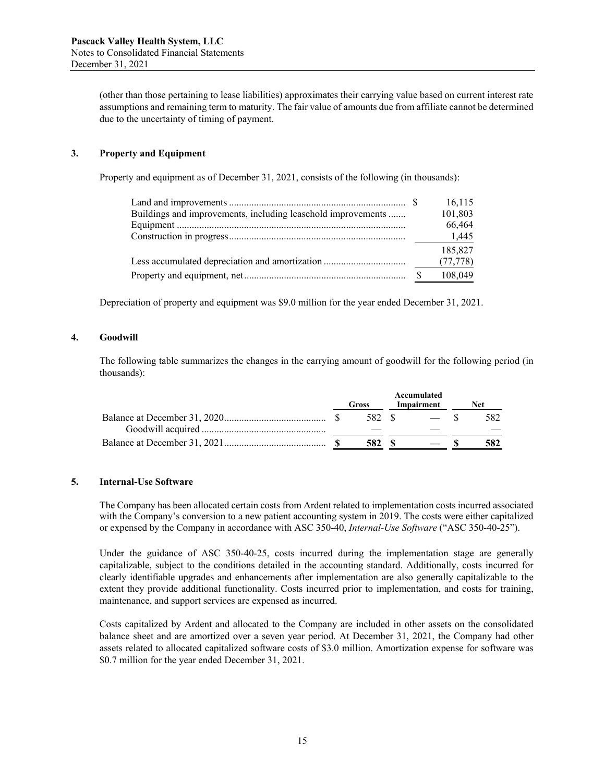(other than those pertaining to lease liabilities) approximates their carrying value based on current interest rate assumptions and remaining term to maturity. The fair value of amounts due from affiliate cannot be determined due to the uncertainty of timing of payment.

# **3. Property and Equipment**

Property and equipment as of December 31, 2021, consists of the following (in thousands):

|                                                              | 16,115    |
|--------------------------------------------------------------|-----------|
| Buildings and improvements, including leasehold improvements | 101,803   |
|                                                              | 66,464    |
|                                                              | 1,445     |
|                                                              | 185,827   |
|                                                              | (77, 778) |
|                                                              | 108,049   |

Depreciation of property and equipment was \$9.0 million for the year ended December 31, 2021.

## **4. Goodwill**

The following table summarizes the changes in the carrying amount of goodwill for the following period (in thousands):

|  | Gross |       | Accumulated<br>Impairment |                     |      | <b>Net</b> |
|--|-------|-------|---------------------------|---------------------|------|------------|
|  |       |       |                           | $582 \quad$ S $-$ S | 582. |            |
|  |       |       |                           |                     |      |            |
|  |       | 582 S |                           | $ \sim$             | 582. |            |

#### **5. Internal-Use Software**

The Company has been allocated certain costs from Ardent related to implementation costs incurred associated with the Company's conversion to a new patient accounting system in 2019. The costs were either capitalized or expensed by the Company in accordance with ASC 350-40, *Internal-Use Software* ("ASC 350-40-25").

Under the guidance of ASC 350-40-25, costs incurred during the implementation stage are generally capitalizable, subject to the conditions detailed in the accounting standard. Additionally, costs incurred for clearly identifiable upgrades and enhancements after implementation are also generally capitalizable to the extent they provide additional functionality. Costs incurred prior to implementation, and costs for training, maintenance, and support services are expensed as incurred.

Costs capitalized by Ardent and allocated to the Company are included in other assets on the consolidated balance sheet and are amortized over a seven year period. At December 31, 2021, the Company had other assets related to allocated capitalized software costs of \$3.0 million. Amortization expense for software was \$0.7 million for the year ended December 31, 2021.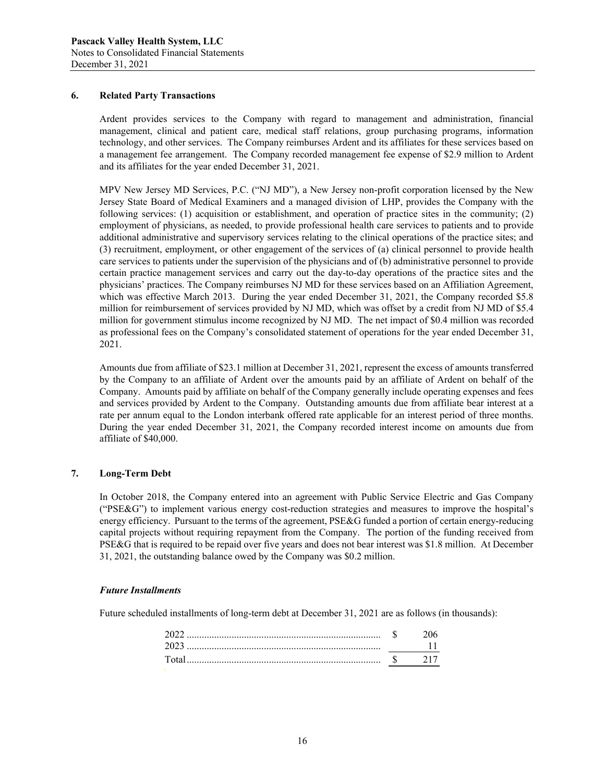# **6. Related Party Transactions**

Ardent provides services to the Company with regard to management and administration, financial management, clinical and patient care, medical staff relations, group purchasing programs, information technology, and other services. The Company reimburses Ardent and its affiliates for these services based on a management fee arrangement. The Company recorded management fee expense of \$2.9 million to Ardent and its affiliates for the year ended December 31, 2021.

MPV New Jersey MD Services, P.C. ("NJ MD"), a New Jersey non-profit corporation licensed by the New Jersey State Board of Medical Examiners and a managed division of LHP, provides the Company with the following services: (1) acquisition or establishment, and operation of practice sites in the community; (2) employment of physicians, as needed, to provide professional health care services to patients and to provide additional administrative and supervisory services relating to the clinical operations of the practice sites; and (3) recruitment, employment, or other engagement of the services of (a) clinical personnel to provide health care services to patients under the supervision of the physicians and of (b) administrative personnel to provide certain practice management services and carry out the day-to-day operations of the practice sites and the physicians' practices. The Company reimburses NJ MD for these services based on an Affiliation Agreement, which was effective March 2013. During the year ended December 31, 2021, the Company recorded \$5.8 million for reimbursement of services provided by NJ MD, which was offset by a credit from NJ MD of \$5.4 million for government stimulus income recognized by NJ MD. The net impact of \$0.4 million was recorded as professional fees on the Company's consolidated statement of operations for the year ended December 31, 2021.

Amounts due from affiliate of \$23.1 million at December 31, 2021, represent the excess of amounts transferred by the Company to an affiliate of Ardent over the amounts paid by an affiliate of Ardent on behalf of the Company. Amounts paid by affiliate on behalf of the Company generally include operating expenses and fees and services provided by Ardent to the Company. Outstanding amounts due from affiliate bear interest at a rate per annum equal to the London interbank offered rate applicable for an interest period of three months. During the year ended December 31, 2021, the Company recorded interest income on amounts due from affiliate of \$40,000.

# **7. Long-Term Debt**

In October 2018, the Company entered into an agreement with Public Service Electric and Gas Company ("PSE&G") to implement various energy cost-reduction strategies and measures to improve the hospital's energy efficiency. Pursuant to the terms of the agreement, PSE&G funded a portion of certain energy-reducing capital projects without requiring repayment from the Company. The portion of the funding received from PSE&G that is required to be repaid over five years and does not bear interest was \$1.8 million. At December 31, 2021, the outstanding balance owed by the Company was \$0.2 million.

#### *Future Installments*

Future scheduled installments of long-term debt at December 31, 2021 are as follows (in thousands):

| 2022    |  |
|---------|--|
| $202 -$ |  |
| Total   |  |
|         |  |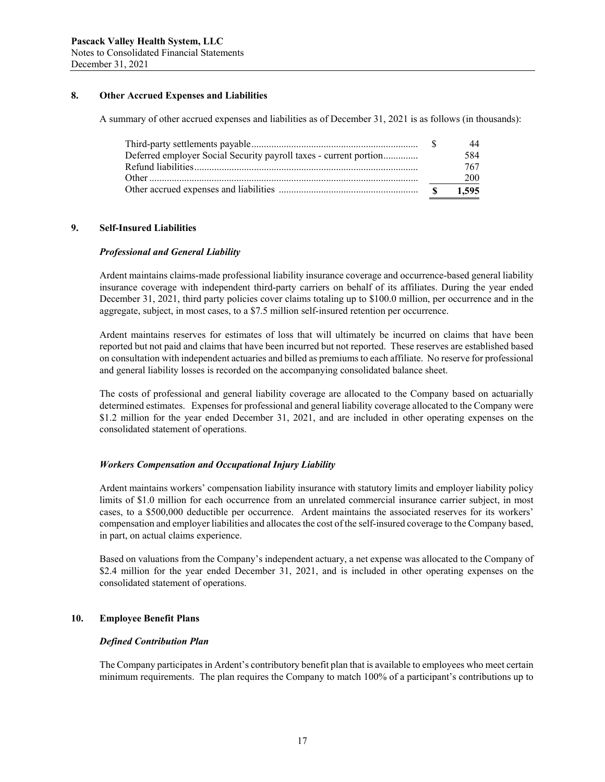# **8. Other Accrued Expenses and Liabilities**

A summary of other accrued expenses and liabilities as of December 31, 2021 is as follows (in thousands):

|                                                                   | 44    |
|-------------------------------------------------------------------|-------|
| Deferred employer Social Security payroll taxes - current portion | 584   |
|                                                                   | 767   |
|                                                                   | 200   |
|                                                                   | 1.595 |

### **9. Self-Insured Liabilities**

#### *Professional and General Liability*

Ardent maintains claims-made professional liability insurance coverage and occurrence-based general liability insurance coverage with independent third-party carriers on behalf of its affiliates. During the year ended December 31, 2021, third party policies cover claims totaling up to \$100.0 million, per occurrence and in the aggregate, subject, in most cases, to a \$7.5 million self-insured retention per occurrence.

Ardent maintains reserves for estimates of loss that will ultimately be incurred on claims that have been reported but not paid and claims that have been incurred but not reported. These reserves are established based on consultation with independent actuaries and billed as premiums to each affiliate. No reserve for professional and general liability losses is recorded on the accompanying consolidated balance sheet.

The costs of professional and general liability coverage are allocated to the Company based on actuarially determined estimates. Expenses for professional and general liability coverage allocated to the Company were \$1.2 million for the year ended December 31, 2021, and are included in other operating expenses on the consolidated statement of operations.

# *Workers Compensation and Occupational Injury Liability*

Ardent maintains workers' compensation liability insurance with statutory limits and employer liability policy limits of \$1.0 million for each occurrence from an unrelated commercial insurance carrier subject, in most cases, to a \$500,000 deductible per occurrence. Ardent maintains the associated reserves for its workers' compensation and employer liabilities and allocates the cost of the self-insured coverage to the Company based, in part, on actual claims experience.

Based on valuations from the Company's independent actuary, a net expense was allocated to the Company of \$2.4 million for the year ended December 31, 2021, and is included in other operating expenses on the consolidated statement of operations.

# **10. Employee Benefit Plans**

#### *Defined Contribution Plan*

The Company participates in Ardent's contributory benefit plan that is available to employees who meet certain minimum requirements. The plan requires the Company to match 100% of a participant's contributions up to